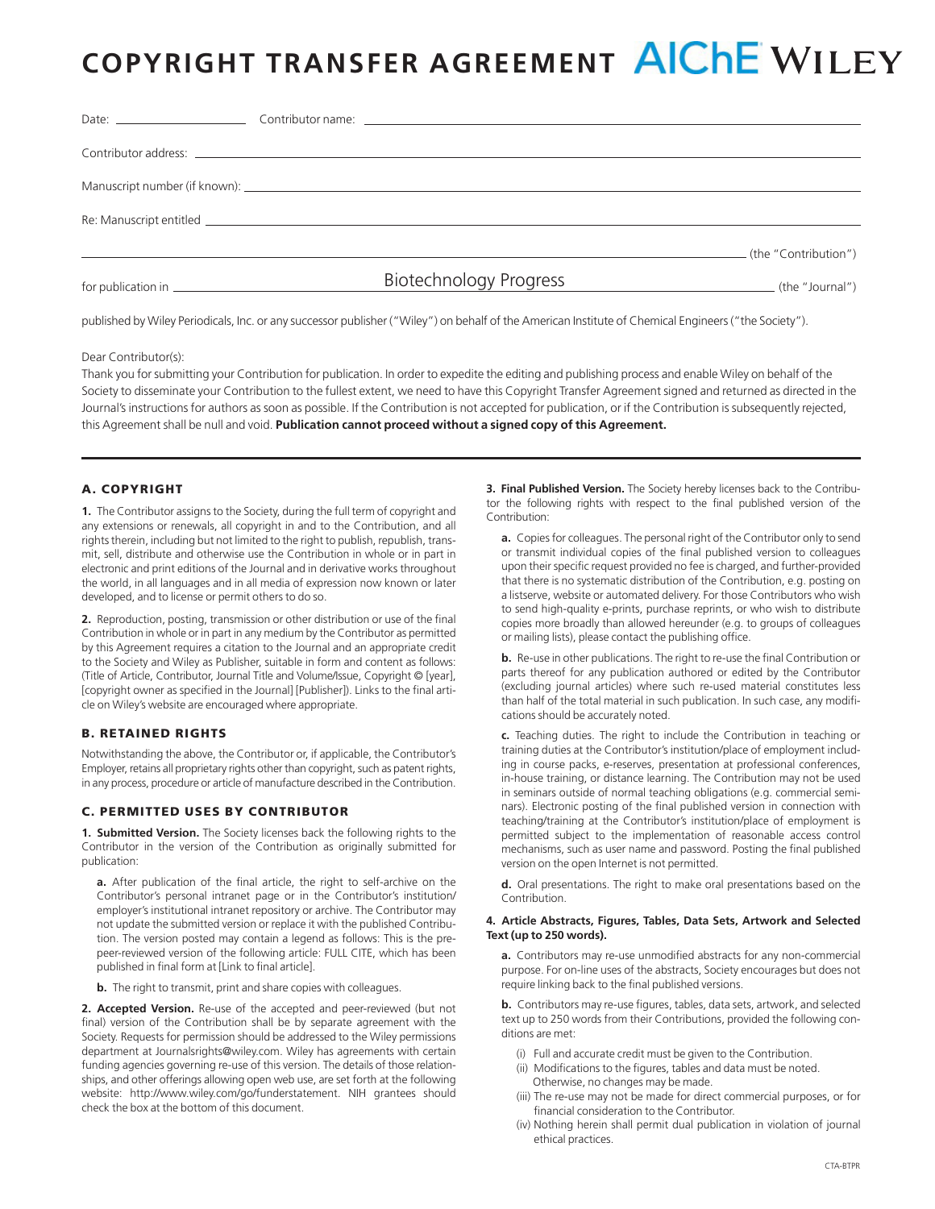# **COPYRIGHT TRANSFER AGREEMENT AICHE WILEY**

|  |                        | (the "Contribution") |
|--|------------------------|----------------------|
|  | Biotechnology Progress | (the "Journal")      |

published by Wiley Periodicals, Inc. or any successor publisher ("Wiley") on behalf of the American Institute of Chemical Engineers ("the Society").

Dear Contributor(s):

Thank you for submitting your Contribution for publication. In order to expedite the editing and publishing process and enable Wiley on behalf of the Society to disseminate your Contribution to the fullest extent, we need to have this Copyright Transfer Agreement signed and returned as directed in the Journal's instructions for authors as soon as possible. If the Contribution is not accepted for publication, or if the Contribution is subsequently rejected, this Agreement shall be null and void. **Publication cannot proceed without a signed copy of this Agreement.**

## A. COPYRIGHT

**1.** The Contributor assigns to the Society, during the full term of copyright and any extensions or renewals, all copyright in and to the Contribution, and all rights therein, including but not limited to the right to publish, republish, transmit, sell, distribute and otherwise use the Contribution in whole or in part in electronic and print editions of the Journal and in derivative works throughout the world, in all languages and in all media of expression now known or later developed, and to license or permit others to do so.

**2.** Reproduction, posting, transmission or other distribution or use of the final Contribution in whole or in part in any medium by the Contributor as permitted by this Agreement requires a citation to the Journal and an appropriate credit to the Society and Wiley as Publisher, suitable in form and content as follows: (Title of Article, Contributor, Journal Title and Volume/Issue, Copyright © [year], [copyright owner as specified in the Journal] [Publisher]). Links to the final article on Wiley's website are encouraged where appropriate.

## B. RETAINED RIGHTS

Notwithstanding the above, the Contributor or, if applicable, the Contributor's Employer, retains all proprietary rights other than copyright, such as patent rights, in any process, procedure or article of manufacture described in the Contribution.

## C. PERMITTED USES BY CONTRIBUTOR

**1. Submitted Version.** The Society licenses back the following rights to the Contributor in the version of the Contribution as originally submitted for publication:

**a.** After publication of the final article, the right to self-archive on the Contributor's personal intranet page or in the Contributor's institution/ employer's institutional intranet repository or archive. The Contributor may not update the submitted version or replace it with the published Contribution. The version posted may contain a legend as follows: This is the prepeer-reviewed version of the following article: FULL CITE, which has been published in final form at [Link to final article].

**b.** The right to transmit, print and share copies with colleagues.

**2. Accepted Version.** Re-use of the accepted and peer-reviewed (but not final) version of the Contribution shall be by separate agreement with the Society. Requests for permission should be addressed to the Wiley permissions department at Journalsrights@wiley.com. Wiley has agreements with certain funding agencies governing re-use of this version. The details of those relationships, and other offerings allowing open web use, are set forth at the following website: http://www.wiley.com/go/funderstatement. NIH grantees should check the box at the bottom of this document.

**3. Final Published Version.** The Society hereby licenses back to the Contributor the following rights with respect to the final published version of the Contribution:

**a.** Copies for colleagues. The personal right of the Contributor only to send or transmit individual copies of the final published version to colleagues upon their specific request provided no fee is charged, and further-provided that there is no systematic distribution of the Contribution, e.g. posting on a listserve, website or automated delivery. For those Contributors who wish to send high-quality e-prints, purchase reprints, or who wish to distribute copies more broadly than allowed hereunder (e.g. to groups of colleagues or mailing lists), please contact the publishing office.

**b.** Re-use in other publications. The right to re-use the final Contribution or parts thereof for any publication authored or edited by the Contributor (excluding journal articles) where such re-used material constitutes less than half of the total material in such publication. In such case, any modifications should be accurately noted.

**c.** Teaching duties. The right to include the Contribution in teaching or training duties at the Contributor's institution/place of employment including in course packs, e-reserves, presentation at professional conferences, in-house training, or distance learning. The Contribution may not be used in seminars outside of normal teaching obligations (e.g. commercial seminars). Electronic posting of the final published version in connection with teaching/training at the Contributor's institution/place of employment is permitted subject to the implementation of reasonable access control mechanisms, such as user name and password. Posting the final published version on the open Internet is not permitted.

**d.** Oral presentations. The right to make oral presentations based on the Contribution.

#### **4. Article Abstracts, Figures, Tables, Data Sets, Artwork and Selected Text (up to 250 words).**

**a.** Contributors may re-use unmodified abstracts for any non-commercial purpose. For on-line uses of the abstracts, Society encourages but does not require linking back to the final published versions.

**b.** Contributors may re-use figures, tables, data sets, artwork, and selected text up to 250 words from their Contributions, provided the following conditions are met:

- (i) Full and accurate credit must be given to the Contribution.
- (ii) Modifications to the figures, tables and data must be noted. Otherwise, no changes may be made.
- (iii) The re-use may not be made for direct commercial purposes, or for financial consideration to the Contributor.
- (iv) Nothing herein shall permit dual publication in violation of journal ethical practices.